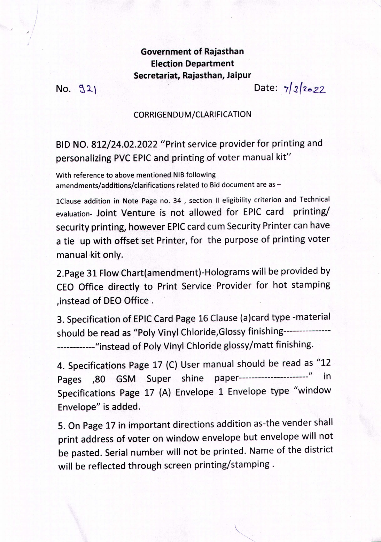Government of Rajasthan Election Department Secretariat, Rajasthan, Jaipur

 $No. 921$ 

!

Date: 7/*3/2022* 

 $\cdots$ 

## CORRIGENDUM/CLARIFICATION

BID NO. 812/24.02.2022 "Print service provider for printing and personalizing PVC EPIC and printing of voter manual kit"

With reference to above mentioned NIB following amendments/additions/clarifications related to Bid document are as -

1Clause addition in Note Page no. 34, section II eligibility criterion and Technical evaluation- Joint Venture is not allowed for EPIC card printing/ security printing, however EPIC card cum Security Printer can have a tie up with offset set Printer, for the purpose of printing voter manual kit only.

2.Page 31 Flow Chart(amendment)-Holograms will be provided by CEO Office directly to Print Service' Provider for hot stamping , instead of DEO Office.

3. Specification of EPIC Card Page 16 Clause (a)card type -material should be read as "Polv Vinyl Chloride,Glossy finishing--------------- ------------"instead of Poly Vinyl Chloride glossy/matt finishing.

4. Specifications Page 17 (C) User manual should be read as "12 Pages ,80 GSM Super shine paper-----------------------" in Specifications Page 17 (A) Envelope 1 Envelope type "window Envelope" is added.

5. On Page 17 in important directions addition as-the vender shall print address of voter on window envelope but envelope will not be pasted. Serial number will not be printed. Name of the district will be reflected through screen printing/stamping.